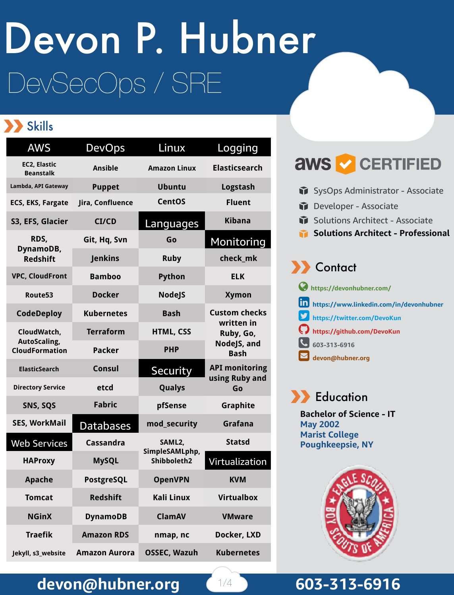# DevSecOps / SRE Devon P. Hubner

#### Skills

| <b>AWS</b>                                           | <b>DevOps</b>        | Linux                                   | Logging                                                                       |
|------------------------------------------------------|----------------------|-----------------------------------------|-------------------------------------------------------------------------------|
| <b>EC2, Elastic</b><br><b>Beanstalk</b>              | <b>Ansible</b>       | <b>Amazon Linux</b>                     | <b>Elasticsearch</b>                                                          |
| Lambda, API Gateway                                  | <b>Puppet</b>        | <b>Ubuntu</b>                           | Logstash                                                                      |
| <b>ECS, EKS, Fargate</b>                             | Jira, Confluence     | <b>CentOS</b>                           | <b>Fluent</b>                                                                 |
| S3, EFS, Glacier                                     | CI/CD                | Languages                               | <b>Kibana</b>                                                                 |
| RDS,<br>DynamoDB,<br><b>Redshift</b>                 | Git, Hq, Svn         | Go                                      | Monitoring                                                                    |
|                                                      | <b>Jenkins</b>       | <b>Ruby</b>                             | check_mk                                                                      |
| <b>VPC, CloudFront</b>                               | <b>Bamboo</b>        | Python                                  | <b>ELK</b>                                                                    |
| Route <sub>53</sub>                                  | <b>Docker</b>        | <b>NodeJS</b>                           | <b>Xymon</b>                                                                  |
| <b>CodeDeploy</b>                                    | <b>Kubernetes</b>    | <b>Bash</b>                             | <b>Custom checks</b><br>written in<br>Ruby, Go,<br>NodeJS, and<br><b>Bash</b> |
| CloudWatch,<br>AutoScaling,<br><b>CloudFormation</b> | <b>Terraform</b>     | <b>HTML, CSS</b>                        |                                                                               |
|                                                      | <b>Packer</b>        | <b>PHP</b>                              |                                                                               |
| <b>ElasticSearch</b>                                 | <b>Consul</b>        | <b>Security</b>                         | <b>API monitoring</b><br>using Ruby and<br>Go                                 |
| <b>Directory Service</b>                             | etcd                 | Qualys                                  |                                                                               |
| SNS, SQS                                             | <b>Fabric</b>        | pfSense                                 | Graphite                                                                      |
| <b>SES, WorkMail</b>                                 | <b>Databases</b>     | mod_security                            | Grafana                                                                       |
| <b>Web Services</b>                                  | <b>Cassandra</b>     | SAML2,<br>SimpleSAMLphp,<br>Shibboleth2 | <b>Statsd</b>                                                                 |
| <b>HAProxy</b>                                       | <b>MySQL</b>         |                                         | Virtualization                                                                |
| <b>Apache</b>                                        | PostgreSQL           | <b>OpenVPN</b>                          | KVM                                                                           |
| <b>Tomcat</b>                                        | <b>Redshift</b>      | <b>Kali Linux</b>                       | <b>Virtualbox</b>                                                             |
| <b>NGinX</b>                                         | <b>DynamoDB</b>      | <b>ClamAV</b>                           | <b>VMware</b>                                                                 |
| <b>Traefik</b>                                       | <b>Amazon RDS</b>    | nmap, nc                                | Docker, LXD                                                                   |
| Jekyll, s3_website                                   | <b>Amazon Aurora</b> | <b>OSSEC, Wazuh</b>                     | <b>Kubernetes</b>                                                             |



- SysOps Administrator Associate
- Developer Associate
- Solutions Architect Associate
- **Solutions Architect Professional**

| <b>A</b> Contact                               |
|------------------------------------------------|
| https://devonhubner.com/                       |
| https://www.linkedin.com/in/devonhubner        |
| thttps://twitter.com/DevoKun                   |
| https://github.com/DevoKun                     |
| 603-313-6916                                   |
| $\overline{\smash{\searrow}}$ devon@hubner.org |



**Bachelor of Science - IT May 2002 Marist College Poughkeepsie, NY**



#### devon@hubner.org **603-313-6916**

 $1/4$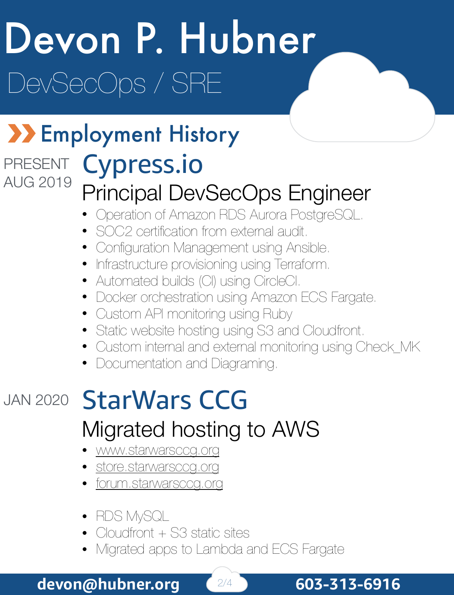# Devon P. Hubner DevSecOps / SRE

#### **XX Employment History** Cypress.io PRESENT AUG 2019

#### Principal DevSecOps Engineer

- Operation of Amazon RDS Aurora PostgreSQL.
- SOC2 certification from external audit.
- Configuration Management using Ansible.
- Infrastructure provisioning using Terraform.
- Automated builds (CI) using CircleCI.
- Docker orchestration using Amazon ECS Fargate.
- Custom API monitoring using Ruby
- Static website hosting using S3 and Cloudfront.
- Custom internal and external monitoring using Check\_MK
- Documentation and Diagraming.

### JAN 2020 StarWars CCG Migrated hosting to AWS

- www.starwarsccg.org
- store.starwarsccg.org
- forum.starwarsccg.org
- RDS MySQL
- Cloudfront + S3 static sites
- Migrated apps to Lambda and ECS Fargate

**devon@hubner.org** 2/4 **603-313-6916**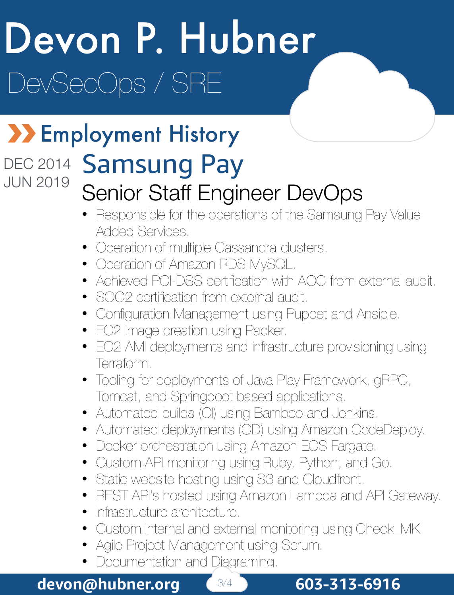# Devon P. Hubner DevSecOps / SRE

#### **XX Employment History** DEC 2014

### JUN 2019

#### Samsung Pay Senior Staff Engineer DevOps

- Responsible for the operations of the Samsung Pay Value Added Services.
- Operation of multiple Cassandra clusters.
- Operation of Amazon RDS MySQL.
- Achieved PCI-DSS certification with AOC from external audit.
- SOC2 certification from external audit.
- Configuration Management using Puppet and Ansible.
- EC2 Image creation using Packer.
- EC2 AMI deployments and infrastructure provisioning using Terraform.
- Tooling for deployments of Java Play Framework, gRPC, Tomcat, and Springboot based applications.
- Automated builds (CI) using Bamboo and Jenkins.
- Automated deployments (CD) using Amazon CodeDeploy.
- Docker orchestration using Amazon ECS Fargate.
- Custom API monitoring using Ruby, Python, and Go.
- Static website hosting using S3 and Cloudfront.
- REST API's hosted using Amazon Lambda and API Gateway.
- Infrastructure architecture.
- Custom internal and external monitoring using Check\_MK
- Agile Project Management using Scrum.
- Documentation and Diagraming.

#### **devon@hubner.org**  $\left( \frac{3}{4} \right)$  603-313-6916